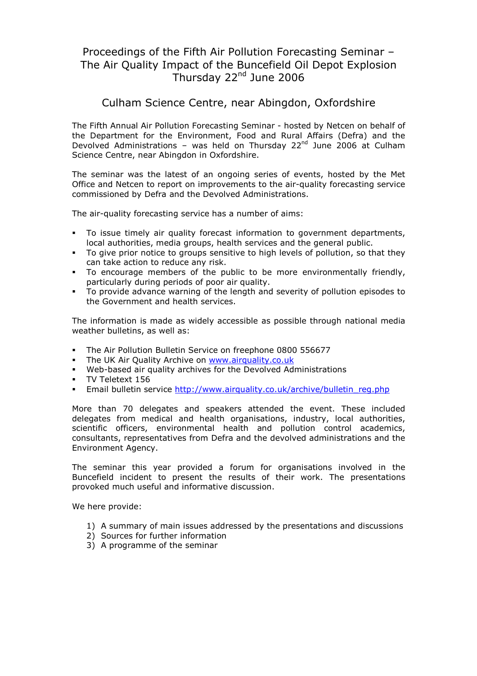# Proceedings of the Fifth Air Pollution Forecasting Seminar – The Air Quality Impact of the Buncefield Oil Depot Explosion Thursday 22<sup>nd</sup> June 2006

### Culham Science Centre, near Abingdon, Oxfordshire

The Fifth Annual Air Pollution Forecasting Seminar - hosted by Netcen on behalf of the Department for the Environment, Food and Rural Affairs (Defra) and the Devolved Administrations – was held on Thursday 22<sup>nd</sup> June 2006 at Culham Science Centre, near Abingdon in Oxfordshire.

The seminar was the latest of an ongoing series of events, hosted by the Met Office and Netcen to report on improvements to the air-quality forecasting service commissioned by Defra and the Devolved Administrations.

The air-quality forecasting service has a number of aims:

- To issue timely air quality forecast information to government departments, local authorities, media groups, health services and the general public.
- To give prior notice to groups sensitive to high levels of pollution, so that they can take action to reduce any risk.
- To encourage members of the public to be more environmentally friendly, particularly during periods of poor air quality.
- To provide advance warning of the length and severity of pollution episodes to the Government and health services.

The information is made as widely accessible as possible through national media weather bulletins, as well as:

- The Air Pollution Bulletin Service on freephone 0800 556677
- The UK Air Quality Archive on www.airquality.co.uk
- Web-based air quality archives for the Devolved Administrations
- **TV Teletext 156**
- Email bulletin service http://www.airquality.co.uk/archive/bulletin\_reg.php

More than 70 delegates and speakers attended the event. These included delegates from medical and health organisations, industry, local authorities, scientific officers, environmental health and pollution control academics, consultants, representatives from Defra and the devolved administrations and the Environment Agency.

The seminar this year provided a forum for organisations involved in the Buncefield incident to present the results of their work. The presentations provoked much useful and informative discussion.

We here provide:

- 1) A summary of main issues addressed by the presentations and discussions
- 2) Sources for further information
- 3) A programme of the seminar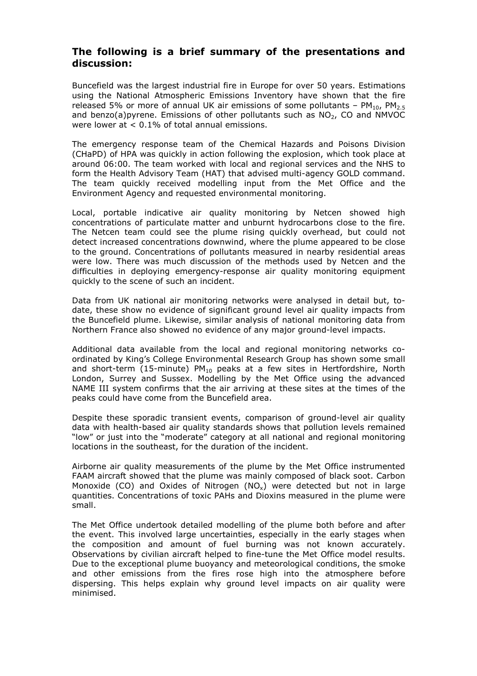#### The following is a brief summary of the presentations and discussion:

Buncefield was the largest industrial fire in Europe for over 50 years. Estimations using the National Atmospheric Emissions Inventory have shown that the fire released 5% or more of annual UK air emissions of some pollutants –  $PM_{10}$ ,  $PM_{2.5}$ and benzo(a)pyrene. Emissions of other pollutants such as  $NO<sub>2</sub>$ , CO and NMVOC were lower at < 0.1% of total annual emissions.

The emergency response team of the Chemical Hazards and Poisons Division (CHaPD) of HPA was quickly in action following the explosion, which took place at around 06:00. The team worked with local and regional services and the NHS to form the Health Advisory Team (HAT) that advised multi-agency GOLD command. The team quickly received modelling input from the Met Office and the Environment Agency and requested environmental monitoring.

Local, portable indicative air quality monitoring by Netcen showed high concentrations of particulate matter and unburnt hydrocarbons close to the fire. The Netcen team could see the plume rising quickly overhead, but could not detect increased concentrations downwind, where the plume appeared to be close to the ground. Concentrations of pollutants measured in nearby residential areas were low. There was much discussion of the methods used by Netcen and the difficulties in deploying emergency-response air quality monitoring equipment quickly to the scene of such an incident.

Data from UK national air monitoring networks were analysed in detail but, todate, these show no evidence of significant ground level air quality impacts from the Buncefield plume. Likewise, similar analysis of national monitoring data from Northern France also showed no evidence of any major ground-level impacts.

Additional data available from the local and regional monitoring networks coordinated by King's College Environmental Research Group has shown some small and short-term (15-minute)  $PM_{10}$  peaks at a few sites in Hertfordshire, North London, Surrey and Sussex. Modelling by the Met Office using the advanced NAME III system confirms that the air arriving at these sites at the times of the peaks could have come from the Buncefield area.

Despite these sporadic transient events, comparison of ground-level air quality data with health-based air quality standards shows that pollution levels remained "low" or just into the "moderate" category at all national and regional monitoring locations in the southeast, for the duration of the incident.

Airborne air quality measurements of the plume by the Met Office instrumented FAAM aircraft showed that the plume was mainly composed of black soot. Carbon Monoxide (CO) and Oxides of Nitrogen (NO<sub>x</sub>) were detected but not in large quantities. Concentrations of toxic PAHs and Dioxins measured in the plume were small.

The Met Office undertook detailed modelling of the plume both before and after the event. This involved large uncertainties, especially in the early stages when the composition and amount of fuel burning was not known accurately. Observations by civilian aircraft helped to fine-tune the Met Office model results. Due to the exceptional plume buoyancy and meteorological conditions, the smoke and other emissions from the fires rose high into the atmosphere before dispersing. This helps explain why ground level impacts on air quality were minimised.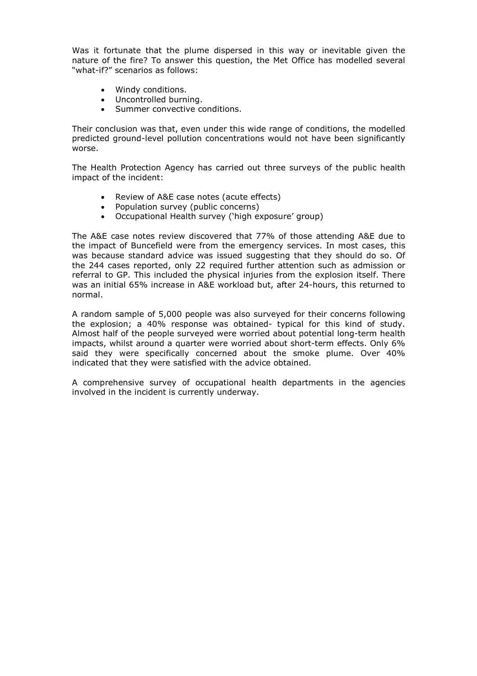Was it fortunate that the plume dispersed in this way or inevitable given the nature of the fire? To answer this question, the Met Office has modelled several "what-if?" scenarios as follows:

- Windy conditions.
- Uncontrolled burning.
- Summer convective conditions.

Their conclusion was that, even under this wide range of conditions, the modelled predicted ground-level pollution concentrations would not have been significantly worse.

The Health Protection Agency has carried out three surveys of the public health impact of the incident:

- Review of A&E case notes (acute effects)
- Population survey (public concerns)
- Occupational Health survey ('high exposure' group)

The A&E case notes review discovered that 77% of those attending A&E due to the impact of Buncefield were from the emergency services. In most cases, this was because standard advice was issued suggesting that they should do so. Of the 244 cases reported, only 22 required further attention such as admission or referral to GP. This included the physical injuries from the explosion itself. There was an initial 65% increase in A&E workload but, after 24-hours, this returned to normal.

A random sample of 5,000 people was also surveyed for their concerns following the explosion; a 40% response was obtained- typical for this kind of study. Almost half of the people surveyed were worried about potential long-term health impacts, whilst around a quarter were worried about short-term effects. Only 6% said they were specifically concerned about the smoke plume. Over 40% indicated that they were satisfied with the advice obtained.

A comprehensive survey of occupational health departments in the agencies involved in the incident is currently underway.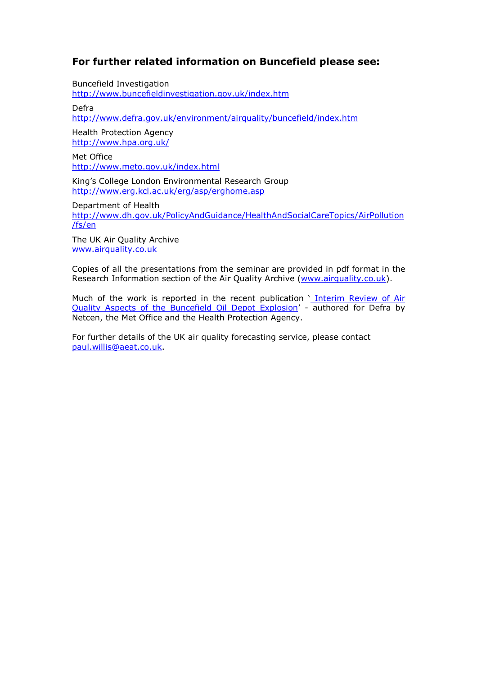### For further related information on Buncefield please see:

Buncefield Investigation http://www.buncefieldinvestigation.gov.uk/index.htm

Defra

http://www.defra.gov.uk/environment/airquality/buncefield/index.htm

Health Protection Agency http://www.hpa.org.uk/

Met Office http://www.meto.gov.uk/index.html

King's College London Environmental Research Group http://www.erg.kcl.ac.uk/erg/asp/erghome.asp

Department of Health

http://www.dh.gov.uk/PolicyAndGuidance/HealthAndSocialCareTopics/AirPollution /fs/en

The UK Air Quality Archive www.airquality.co.uk

Copies of all the presentations from the seminar are provided in pdf format in the Research Information section of the Air Quality Archive (www.airquality.co.uk).

Much of the work is reported in the recent publication ' Interim Review of Air Quality Aspects of the Buncefield Oil Depot Explosion' - authored for Defra by Netcen, the Met Office and the Health Protection Agency.

For further details of the UK air quality forecasting service, please contact paul.willis@aeat.co.uk.